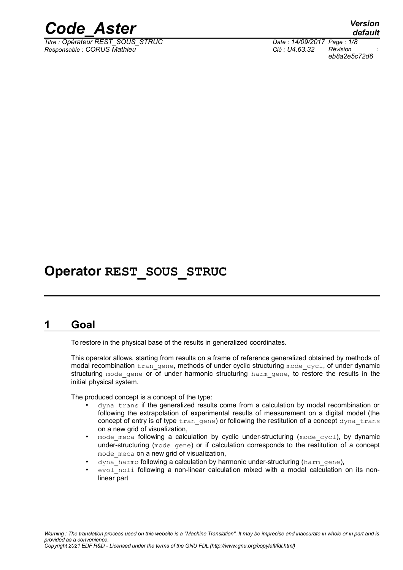

*Titre : Opérateur REST\_SOUS\_STRUC Date : 14/09/2017 Page : 1/8 Responsable : CORUS Mathieu Clé : U4.63.32 Révision :*

### **Operator REST\_SOUS\_STRUC**

#### **1 Goal**

To restore in the physical base of the results in generalized coordinates.

This operator allows, starting from results on a frame of reference generalized obtained by methods of modal recombination tran\_gene, methods of under cyclic structuring mode cycl, of under dynamic structuring mode gene or of under harmonic structuring harm gene, to restore the results in the initial physical system.

The produced concept is a concept of the type:

- dyna trans if the generalized results come from a calculation by modal recombination or following the extrapolation of experimental results of measurement on a digital model (the concept of entry is of type  $tran$  gene) or following the restitution of a concept dyna trans on a new grid of visualization,
- mode meca following a calculation by cyclic under-structuring (mode cycl), by dynamic under-structuring (mode gene) or if calculation corresponds to the restitution of a concept mode meca on a new grid of visualization,
- dyna harmo following a calculation by harmonic under-structuring (harm gene),
- evol\_noli following a non-linear calculation mixed with a modal calculation on its nonlinear part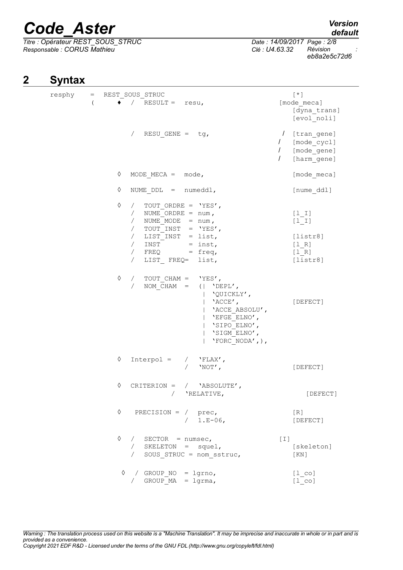*Titre : Opérateur REST\_SOUS\_STRUC Date : 14/09/2017 Page : 2/8 Responsable : CORUS Mathieu Clé : U4.63.32 Révision :*

*default*

*eb8a2e5c72d6*

### **2 Syntax**

| resphy |                  | = REST SOUS STRUC                                                                                                                                                                                          |                                                                                                                                                  | $[\star]$                                                                                                      |
|--------|------------------|------------------------------------------------------------------------------------------------------------------------------------------------------------------------------------------------------------|--------------------------------------------------------------------------------------------------------------------------------------------------|----------------------------------------------------------------------------------------------------------------|
|        | $\overline{(\ }$ | $\bullet$ / RESULT = resu,                                                                                                                                                                                 |                                                                                                                                                  | [mode_meca]<br>[dyna trans]<br>[evol noli]                                                                     |
|        |                  | / RESU GENE = $tg$ ,                                                                                                                                                                                       |                                                                                                                                                  | [tran gene]<br>$\prime$<br>[mode_cycl]<br>$\sqrt{2}$<br>$\sqrt{2}$<br>[mode gene]<br>[harm gene]<br>$\sqrt{2}$ |
|        |                  | ♦<br>MODE MECA = $mode$ ,                                                                                                                                                                                  |                                                                                                                                                  | [mode meca]                                                                                                    |
|        |                  | ♦<br>NUME $DDL = numedd1$ ,                                                                                                                                                                                |                                                                                                                                                  | [nume ddl]                                                                                                     |
|        |                  | ♦<br>/ TOUT ORDRE = $'YES'$ ,<br>/ NUME ORDRE = $num,$<br>/ NUME MODE = $num,$<br>/ TOUT INST = $'YES'$ ,<br>/ LIST INST = list,<br>$/$ INST = inst,<br>/ $FREQ = freq,$<br>LIST FREQ= list,<br>$\sqrt{2}$ |                                                                                                                                                  | $[1  I]$<br>$[1  I]$<br>[liststr8]<br>[1 R]<br>[1 R]<br>[liststr8]                                             |
|        |                  | ♦<br>/ TOUT CHAM = $'YES'$ ,<br>$\sqrt{2}$                                                                                                                                                                 | NOM CHAM = $( $ 'DEPL',<br>  'QUICKLY',<br>$ $ 'ACCE',<br>  'ACCE ABSOLU',<br>'EFGE ELNO',<br>'SIPO ELNO',<br>'SIGM ELNO',<br>'FORC NODA', $)$ , | [DEFECT]                                                                                                       |
|        |                  | ♦<br>$Interpol =$                                                                                                                                                                                          | / $'$ FLAX',<br>$'NOT'$ ,                                                                                                                        | [DEFECT]                                                                                                       |
|        |                  | ♦<br>CRITERION = $/$ 'ABSOLUTE',                                                                                                                                                                           | 'RELATIVE,                                                                                                                                       | [DEFECT]                                                                                                       |
|        |                  | $\Diamond$<br>PRECISION = $/$ prec,                                                                                                                                                                        | $/ 1.E-06,$                                                                                                                                      | [R]<br>[DEFECT]                                                                                                |
|        |                  | $\Diamond$<br>/ $SECTOR = numsec,$<br>/ SKELETON = $square,$<br>/ SOUS STRUC = nom sstruc,                                                                                                                 |                                                                                                                                                  | $\lceil 1 \rceil$<br>[skeleton]<br>[KN]                                                                        |
|        |                  | $\Diamond$ / GROUP NO = lgrno,<br>/ GROUP $MA = 1$ grma,                                                                                                                                                   |                                                                                                                                                  | $[1 \text{ co}]$<br>$[1 \text{ co}]$                                                                           |

*Warning : The translation process used on this website is a "Machine Translation". It may be imprecise and inaccurate in whole or in part and is provided as a convenience. Copyright 2021 EDF R&D - Licensed under the terms of the GNU FDL (http://www.gnu.org/copyleft/fdl.html)*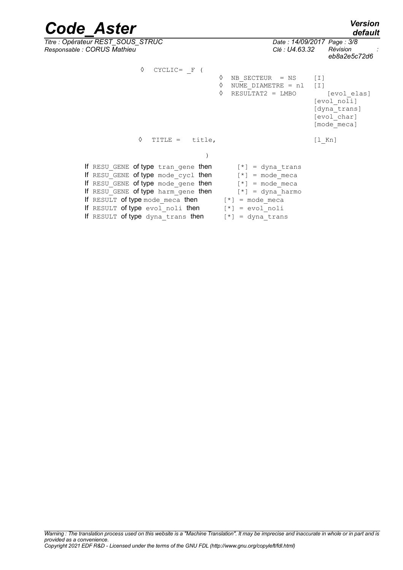| <b>Code Aster</b>                                                                                                                                                                                                                                                                                                                                                                                        |                                                                                     | <b>Version</b><br>default                                                                                          |
|----------------------------------------------------------------------------------------------------------------------------------------------------------------------------------------------------------------------------------------------------------------------------------------------------------------------------------------------------------------------------------------------------------|-------------------------------------------------------------------------------------|--------------------------------------------------------------------------------------------------------------------|
| Titre : Opérateur REST_SOUS_STRUC<br>Responsable : CORUS Mathieu                                                                                                                                                                                                                                                                                                                                         | Clé : U4.63.32                                                                      | Date: 14/09/2017 Page: 3/8<br>Révision<br>eb8a2e5c72d6                                                             |
| ♦<br>$CYCLIC = F ($<br>♦<br>TITLE = $title,$                                                                                                                                                                                                                                                                                                                                                             | NB SECTEUR = NS<br>♦<br>$\Diamond$<br>NUME DIAMETRE = nl<br>♦<br>$RESULTAT2 = LMBO$ | $[1]$<br>$\lceil 1 \rceil$<br>[evol elas]<br>[evol noli]<br>[dyna trans]<br>[evol char]<br>[mode meca]<br>$[1$ Kn] |
| If RESU GENE of type tran gene then $[*] = \text{dyn}$ trans<br>If RESU GENE of type mode cycl then $[*] =$ mode meca<br>If RESU GENE of type mode gene then $[*] = mode\_meca$<br>If RESU GENE of type harm_gene then $[*] = \text{dyn}$ harmo<br>If RESULT of type mode_meca then $[*] = mode\_meca$<br>If RESULT of type evol noli then $[*] = \text{evol noli}$<br>If RESULT of type dyna_trans then | $[*] = \text{dyn} \text{ trans}$                                                    |                                                                                                                    |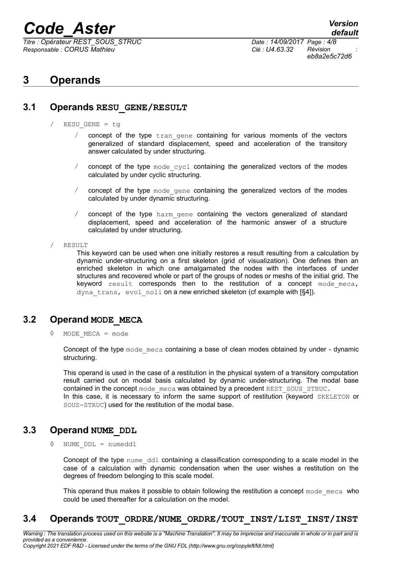*Titre : Opérateur REST\_SOUS\_STRUC Date : 14/09/2017 Page : 4/8 Responsable : CORUS Mathieu Clé : U4.63.32 Révision :*

*default eb8a2e5c72d6*

### **3 Operands**

#### **3.1 Operands RESU\_GENE/RESULT**

- / RESU\_GENE = tg
	- / concept of the type  $tran$  gene containing for various moments of the vectors generalized of standard displacement, speed and acceleration of the transitory answer calculated by under structuring.
	- / concept of the type mode\_cycl containing the generalized vectors of the modes calculated by under cyclic structuring.
	- concept of the type mode gene containing the generalized vectors of the modes calculated by under dynamic structuring.
	- concept of the type harm gene containing the vectors generalized of standard displacement, speed and acceleration of the harmonic answer of a structure calculated by under structuring.
- / RESULT

This keyword can be used when one initially restores a result resulting from a calculation by dynamic under-structuring on a first skeleton (grid of visualization). One defines then an enriched skeleton in which one amalgamated the nodes with the interfaces of under structures and recovered whole or part of the groups of nodes or meshs of the initial grid. The keyword result corresponds then to the restitution of a concept mode meca, dyna trans, evol noli on a new enriched skeleton (cf example with [§4]).

#### **3.2 Operand MODE\_MECA**

◊ MODE\_MECA = mode

Concept of the type mode meca containing a base of clean modes obtained by under - dynamic structuring.

This operand is used in the case of a restitution in the physical system of a transitory computation result carried out on modal basis calculated by dynamic under-structuring. The modal base contained in the concept mode meca was obtained by a precedent REST\_SOUS\_STRUC. In this case, it is necessary to inform the same support of restitution (keyword SKELETON or SOUS-STRUC) used for the restitution of the modal base.

#### **3.3 Operand NUME\_DDL**

◊ NUME\_DDL = numeddl

Concept of the type nume ddl containing a classification corresponding to a scale model in the case of a calculation with dynamic condensation when the user wishes a restitution on the degrees of freedom belonging to this scale model.

This operand thus makes it possible to obtain following the restitution a concept mode meca who could be used thereafter for a calculation on the model.

#### **3.4 Operands TOUT\_ORDRE/NUME\_ORDRE/TOUT\_INST/LIST\_INST/INST**

*Warning : The translation process used on this website is a "Machine Translation". It may be imprecise and inaccurate in whole or in part and is provided as a convenience. Copyright 2021 EDF R&D - Licensed under the terms of the GNU FDL (http://www.gnu.org/copyleft/fdl.html)*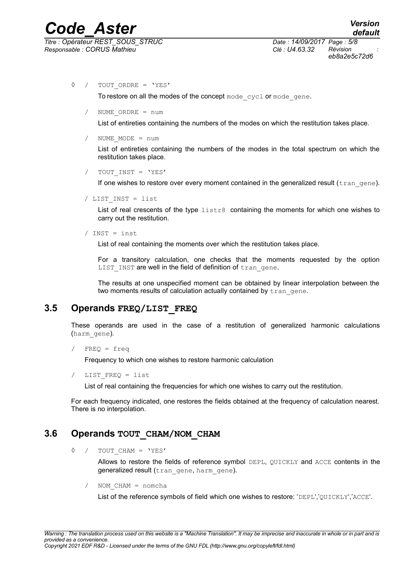*eb8a2e5c72d6*

◊ / TOUT\_ORDRE = 'YES'

To restore on all the modes of the concept mode cycl or mode gene.

/ NUME\_ORDRE = num

List of entireties containing the numbers of the modes on which the restitution takes place.

 $NUME MODE = num$ 

List of entireties containing the numbers of the modes in the total spectrum on which the restitution takes place.

/ TOUT\_INST = 'YES'

If one wishes to restore over every moment contained in the generalized result (tran gene).

/ LIST\_INST = list

List of real crescents of the type  $list2$  containing the moments for which one wishes to carry out the restitution.

/ INST = inst

List of real containing the moments over which the restitution takes place.

For a transitory calculation, one checks that the moments requested by the option LIST INST are well in the field of definition of tran gene.

The results at one unspecified moment can be obtained by linear interpolation between the two moments results of calculation actually contained by tran gene.

#### **3.5 Operands FREQ/LIST\_FREQ**

These operands are used in the case of a restitution of generalized harmonic calculations (harm\_gene).

```
FREQ = freq
```
Frequency to which one wishes to restore harmonic calculation

LIST FREQ = list

List of real containing the frequencies for which one wishes to carry out the restitution.

For each frequency indicated, one restores the fields obtained at the frequency of calculation nearest. There is no interpolation.

#### **3.6 Operands TOUT\_CHAM/NOM\_CHAM**

◊ / TOUT\_CHAM = 'YES'

Allows to restore the fields of reference symbol DEPL, QUICKLY and ACCE contents in the generalized result (tran gene, harm gene).

/ NOM\_CHAM = nomcha

List of the reference symbols of field which one wishes to restore: 'DEPL','QUICKLY','ACCE'.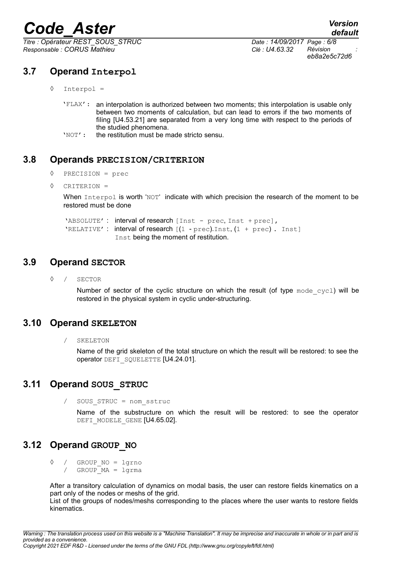*Titre : Opérateur REST\_SOUS\_STRUC Date : 14/09/2017 Page : 6/8 Responsable : CORUS Mathieu Clé : U4.63.32 Révision :*

#### **3.7 Operand Interpol**

- ◊ Interpol =
	- 'FLAX': an interpolation is authorized between two moments; this interpolation is usable only between two moments of calculation, but can lead to errors if the two moments of filing [U4.53.21] are separated from a very long time with respect to the periods of the studied phenomena.
	- 'NOT': the restitution must be made stricto sensu.

#### **3.8 Operands PRECISION/CRITERION**

- ◊ PRECISION = prec
- ◊ CRITERION =

When Interpol is worth 'NOT' indicate with which precision the research of the moment to be restored must be done

'ABSOLUTE': interval of research [Inst - prec, Inst + prec], 'RELATIVE' : interval of research  $[(1 - prec).Inst, (1 + prec)$ . Inst] Inst being the moment of restitution.

#### **3.9 Operand SECTOR**

◊ / SECTOR

Number of sector of the cyclic structure on which the result (of type  $\text{mode cycl}$ ) will be restored in the physical system in cyclic under-structuring.

#### **3.10 Operand SKELETON**

/ SKELETON

Name of the grid skeleton of the total structure on which the result will be restored: to see the operator DEFI\_SQUELETTE [U4.24.01].

#### **3.11 Operand SOUS\_STRUC**

/ SOUS\_STRUC = nom\_sstruc

Name of the substructure on which the result will be restored: to see the operator DEFI\_MODELE\_GENE [U4.65.02].

#### **3.12 Operand GROUP\_NO**

◊ / GROUP\_NO = lgrno  $/$  GROUP  $MA = 1$ grma

After a transitory calculation of dynamics on modal basis, the user can restore fields kinematics on a part only of the nodes or meshs of the grid.

List of the groups of nodes/meshs corresponding to the places where the user wants to restore fields kinematics.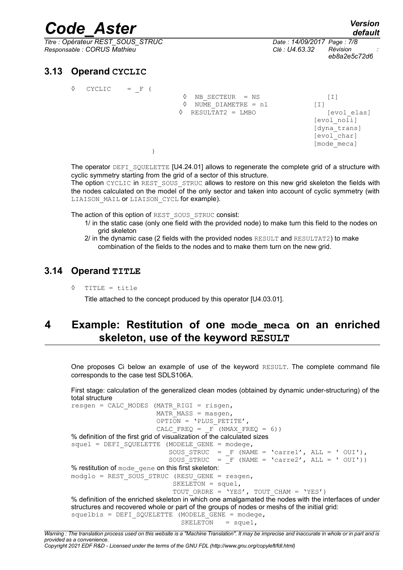*Titre : Opérateur REST\_SOUS\_STRUC Date : 14/09/2017 Page : 7/8 Responsable : CORUS Mathieu Clé : U4.63.32 Révision :*

*default eb8a2e5c72d6*

#### **3.13 Operand CYCLIC**

◊ CYCLIC = \_F (

 $\Diamond$  NB SECTEUR = NS [I]  $\Diamond$  NUME DIAMETRE = nl  $[1]$  $\Diamond$  RESULTAT2 = LMBO [evol elas] [evol\_noli] [dyna\_trans] [evol<sup>char]</sup> [mode\_meca] )

The operator  $DEFI$  squelette  $[U4.24.01]$  allows to regenerate the complete grid of a structure with cyclic symmetry starting from the grid of a sector of this structure.

The option CYCLIC in REST SOUS STRUC allows to restore on this new grid skeleton the fields with the nodes calculated on the model of the only sector and taken into account of cyclic symmetry (with LIAISON MAIL or LIAISON CYCL for example).

The action of this option of REST\_SOUS\_STRUC consist:

- 1/ in the static case (only one field with the provided node) to make turn this field to the nodes on grid skeleton
- $2/$  in the dynamic case (2 fields with the provided nodes RESULT and RESULTAT2) to make combination of the fields to the nodes and to make them turn on the new grid.

#### **3.14 Operand TITLE**

◊ TITLE = title

Title attached to the concept produced by this operator [U4.03.01].

### **4 Example: Restitution of one mode\_meca on an enriched skeleton, use of the keyword RESULT**

One proposes Ci below an example of use of the keyword RESULT. The complete command file corresponds to the case test SDLS106A.

First stage: calculation of the generalized clean modes (obtained by dynamic under-structuring) of the total structure

```
resgen = CALC MODES (MATR RIGI = risgen,MATR MASS = masgen,
                      OPTION = 'PLUS PETITE',
                      CALC FREQ = F (NMAX FREQ = 6))
% definition of the first grid of visualization of the calculated sizes
squel = DET SQUARE (MODELE THE GENE = modege,SOUS STRUC = F (NAME = 'carre1', ALL = ' OUI'),
SOUS STRUC = F (NAME = 'carre2', ALL = ' OUI'))
% restitution of mode gene on this first skeleton:
modqlo = REST SOUS STRUC (RESU GENE = resgen,
                          SKELETON = square1,
                          TOUT ORDRE = 'YES', TOUT CHAM = 'YES')
% definition of the enriched skeleton in which one amalgamated the nodes with the interfaces of under
structures and recovered whole or part of the groups of nodes or meshs of the initial grid:
squelbis = DET SQUARE (MODELE <math>GENE = modege</math>)SKELETON = squel,
```